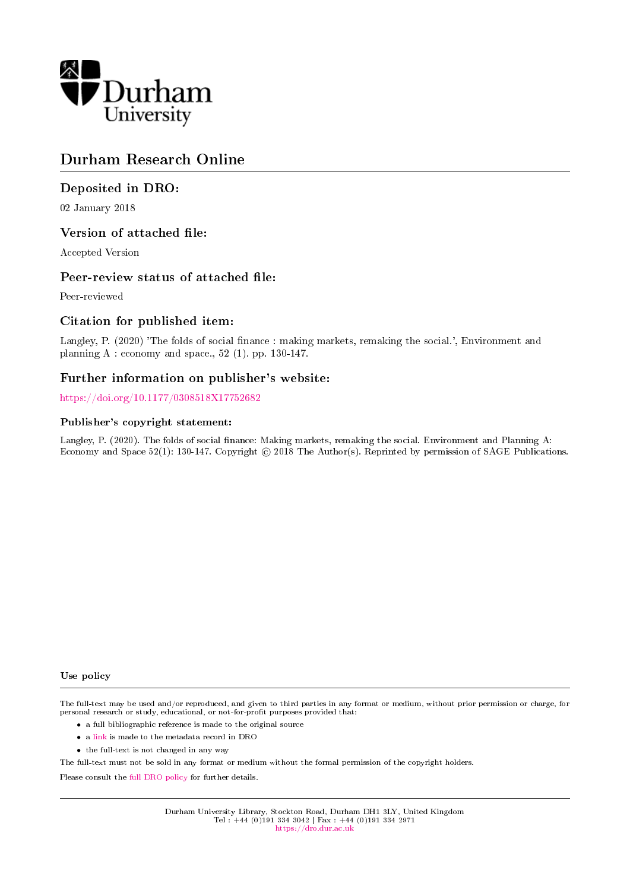

# Durham Research Online

## Deposited in DRO:

02 January 2018

## Version of attached file:

Accepted Version

## Peer-review status of attached file:

Peer-reviewed

## Citation for published item:

Langley, P. (2020) 'The folds of social finance : making markets, remaking the social.', Environment and planning A : economy and space., 52 (1). pp. 130-147.

## Further information on publisher's website:

<https://doi.org/10.1177/0308518X17752682>

### Publisher's copyright statement:

Langley, P. (2020). The folds of social finance: Making markets, remaking the social. Environment and Planning A: Economy and Space 52(1): 130-147. Copyright © 2018 The Author(s). Reprinted by permission of SAGE Publications.

#### Use policy

The full-text may be used and/or reproduced, and given to third parties in any format or medium, without prior permission or charge, for personal research or study, educational, or not-for-profit purposes provided that:

- a full bibliographic reference is made to the original source
- a [link](http://dro.dur.ac.uk/23761/) is made to the metadata record in DRO
- the full-text is not changed in any way

The full-text must not be sold in any format or medium without the formal permission of the copyright holders.

Please consult the [full DRO policy](https://dro.dur.ac.uk/policies/usepolicy.pdf) for further details.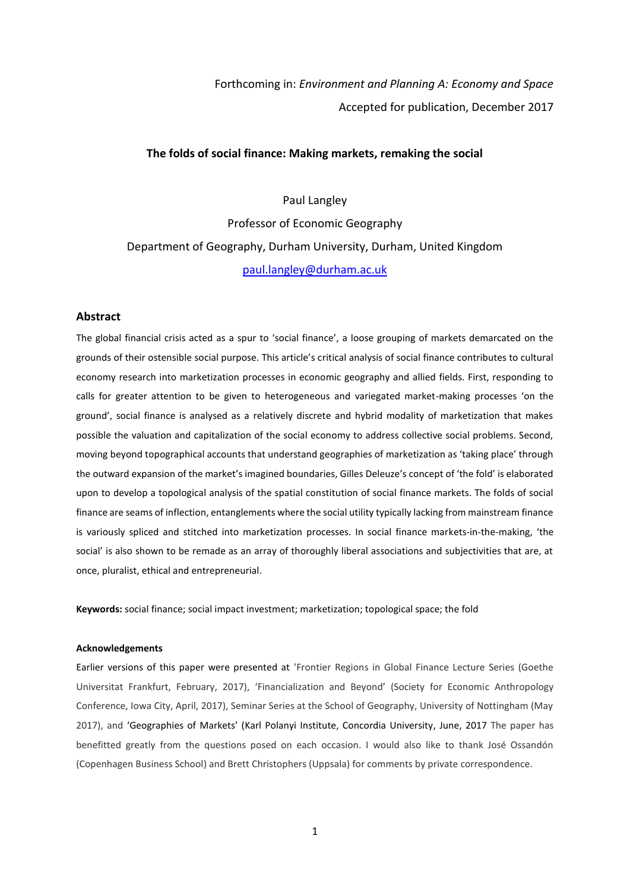Forthcoming in: *Environment and Planning A: Economy and Space* Accepted for publication, December 2017

### **The folds of social finance: Making markets, remaking the social**

Paul Langley

Professor of Economic Geography Department of Geography, Durham University, Durham, United Kingdom [paul.langley@durham.ac.uk](mailto:paul.langley@durham.ac.uk)

#### **Abstract**

The global financial crisis acted as a spur to 'social finance', a loose grouping of markets demarcated on the grounds of their ostensible social purpose. This article's critical analysis of social finance contributes to cultural economy research into marketization processes in economic geography and allied fields. First, responding to calls for greater attention to be given to heterogeneous and variegated market-making processes 'on the ground', social finance is analysed as a relatively discrete and hybrid modality of marketization that makes possible the valuation and capitalization of the social economy to address collective social problems. Second, moving beyond topographical accounts that understand geographies of marketization as 'taking place' through the outward expansion of the market's imagined boundaries, Gilles Deleuze's concept of 'the fold' is elaborated upon to develop a topological analysis of the spatial constitution of social finance markets. The folds of social finance are seams of inflection, entanglements where the social utility typically lacking from mainstream finance is variously spliced and stitched into marketization processes. In social finance markets-in-the-making, 'the social' is also shown to be remade as an array of thoroughly liberal associations and subjectivities that are, at once, pluralist, ethical and entrepreneurial.

**Keywords:** social finance; social impact investment; marketization; topological space; the fold

#### **Acknowledgements**

Earlier versions of this paper were presented at 'Frontier Regions in Global Finance Lecture Series (Goethe Universitat Frankfurt, February, 2017), 'Financialization and Beyond' (Society for Economic Anthropology Conference, Iowa City, April, 2017), Seminar Series at the School of Geography, University of Nottingham (May 2017), and 'Geographies of Markets' (Karl Polanyi Institute, Concordia University, June, 2017 The paper has benefitted greatly from the questions posed on each occasion. I would also like to thank José Ossandón (Copenhagen Business School) and Brett Christophers (Uppsala) for comments by private correspondence.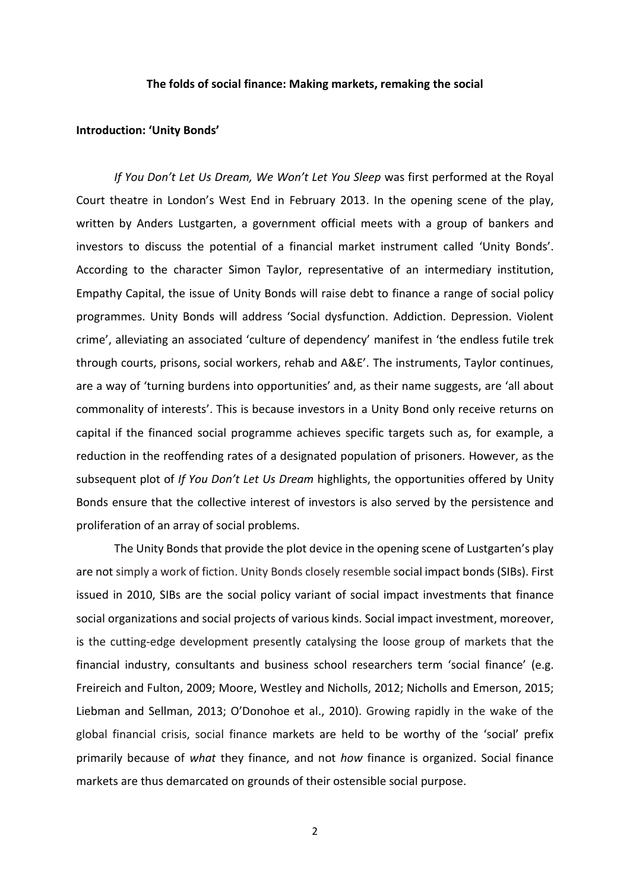#### **The folds of social finance: Making markets, remaking the social**

#### **Introduction: 'Unity Bonds'**

*If You Don't Let Us Dream, We Won't Let You Sleep* was first performed at the Royal Court theatre in London's West End in February 2013. In the opening scene of the play, written by Anders Lustgarten, a government official meets with a group of bankers and investors to discuss the potential of a financial market instrument called 'Unity Bonds'. According to the character Simon Taylor, representative of an intermediary institution, Empathy Capital, the issue of Unity Bonds will raise debt to finance a range of social policy programmes. Unity Bonds will address 'Social dysfunction. Addiction. Depression. Violent crime', alleviating an associated 'culture of dependency' manifest in 'the endless futile trek through courts, prisons, social workers, rehab and A&E'. The instruments, Taylor continues, are a way of 'turning burdens into opportunities' and, as their name suggests, are 'all about commonality of interests'. This is because investors in a Unity Bond only receive returns on capital if the financed social programme achieves specific targets such as, for example, a reduction in the reoffending rates of a designated population of prisoners. However, as the subsequent plot of *If You Don't Let Us Dream* highlights, the opportunities offered by Unity Bonds ensure that the collective interest of investors is also served by the persistence and proliferation of an array of social problems.

The Unity Bonds that provide the plot device in the opening scene of Lustgarten's play are not simply a work of fiction. Unity Bonds closely resemble social impact bonds (SIBs). First issued in 2010, SIBs are the social policy variant of social impact investments that finance social organizations and social projects of various kinds. Social impact investment, moreover, is the cutting-edge development presently catalysing the loose group of markets that the financial industry, consultants and business school researchers term 'social finance' (e.g. Freireich and Fulton, 2009; Moore, Westley and Nicholls, 2012; Nicholls and Emerson, 2015; Liebman and Sellman, 2013; O'Donohoe et al., 2010). Growing rapidly in the wake of the global financial crisis, social finance markets are held to be worthy of the 'social' prefix primarily because of *what* they finance, and not *how* finance is organized. Social finance markets are thus demarcated on grounds of their ostensible social purpose.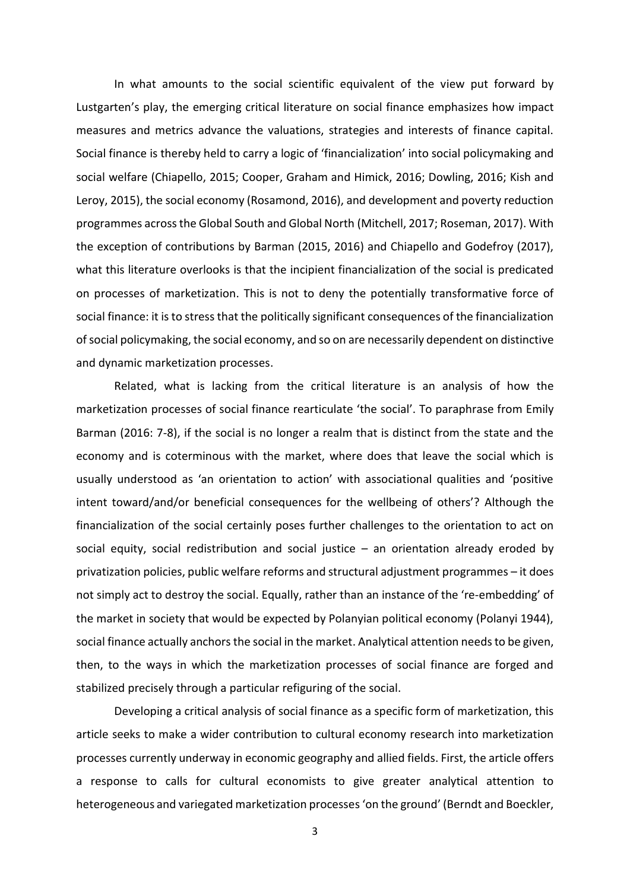In what amounts to the social scientific equivalent of the view put forward by Lustgarten's play, the emerging critical literature on social finance emphasizes how impact measures and metrics advance the valuations, strategies and interests of finance capital. Social finance is thereby held to carry a logic of 'financialization' into social policymaking and social welfare (Chiapello, 2015; Cooper, Graham and Himick, 2016; Dowling, 2016; Kish and Leroy, 2015), the social economy (Rosamond, 2016), and development and poverty reduction programmes across the Global South and Global North (Mitchell, 2017; Roseman, 2017). With the exception of contributions by Barman (2015, 2016) and Chiapello and Godefroy (2017), what this literature overlooks is that the incipient financialization of the social is predicated on processes of marketization. This is not to deny the potentially transformative force of social finance: it is to stress that the politically significant consequences of the financialization of social policymaking, the social economy, and so on are necessarily dependent on distinctive and dynamic marketization processes.

Related, what is lacking from the critical literature is an analysis of how the marketization processes of social finance rearticulate 'the social'. To paraphrase from Emily Barman (2016: 7-8), if the social is no longer a realm that is distinct from the state and the economy and is coterminous with the market, where does that leave the social which is usually understood as 'an orientation to action' with associational qualities and 'positive intent toward/and/or beneficial consequences for the wellbeing of others'? Although the financialization of the social certainly poses further challenges to the orientation to act on social equity, social redistribution and social justice – an orientation already eroded by privatization policies, public welfare reforms and structural adjustment programmes – it does not simply act to destroy the social. Equally, rather than an instance of the 're-embedding' of the market in society that would be expected by Polanyian political economy (Polanyi 1944), social finance actually anchors the social in the market. Analytical attention needs to be given, then, to the ways in which the marketization processes of social finance are forged and stabilized precisely through a particular refiguring of the social.

Developing a critical analysis of social finance as a specific form of marketization, this article seeks to make a wider contribution to cultural economy research into marketization processes currently underway in economic geography and allied fields. First, the article offers a response to calls for cultural economists to give greater analytical attention to heterogeneous and variegated marketization processes 'on the ground' (Berndt and Boeckler,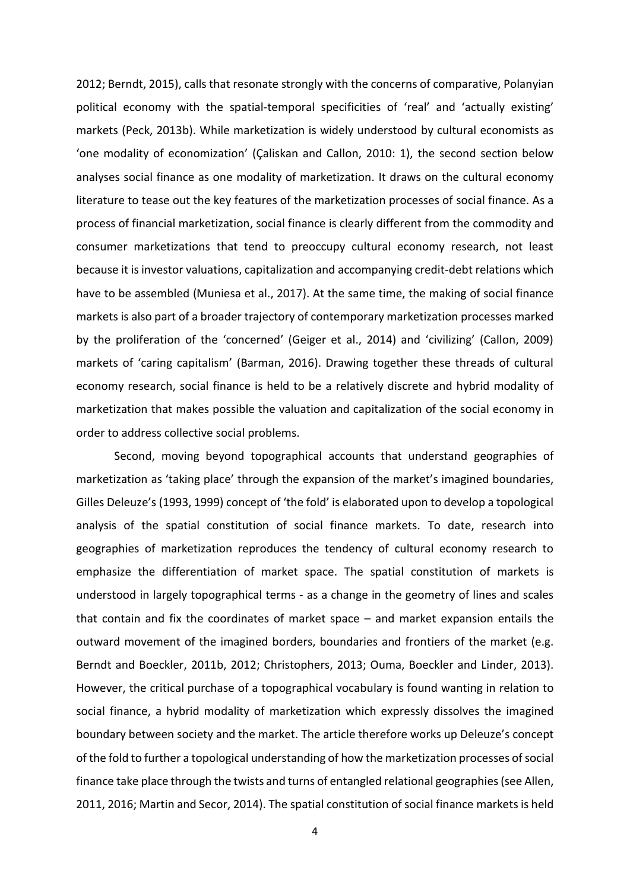2012; Berndt, 2015), calls that resonate strongly with the concerns of comparative, Polanyian political economy with the spatial-temporal specificities of 'real' and 'actually existing' markets (Peck, 2013b). While marketization is widely understood by cultural economists as 'one modality of economization' (Çaliskan and Callon, 2010: 1), the second section below analyses social finance as one modality of marketization. It draws on the cultural economy literature to tease out the key features of the marketization processes of social finance. As a process of financial marketization, social finance is clearly different from the commodity and consumer marketizations that tend to preoccupy cultural economy research, not least because it is investor valuations, capitalization and accompanying credit-debt relations which have to be assembled (Muniesa et al., 2017). At the same time, the making of social finance markets is also part of a broader trajectory of contemporary marketization processes marked by the proliferation of the 'concerned' (Geiger et al., 2014) and 'civilizing' (Callon, 2009) markets of 'caring capitalism' (Barman, 2016). Drawing together these threads of cultural economy research, social finance is held to be a relatively discrete and hybrid modality of marketization that makes possible the valuation and capitalization of the social economy in order to address collective social problems.

Second, moving beyond topographical accounts that understand geographies of marketization as 'taking place' through the expansion of the market's imagined boundaries, Gilles Deleuze's (1993, 1999) concept of 'the fold' is elaborated upon to develop a topological analysis of the spatial constitution of social finance markets. To date, research into geographies of marketization reproduces the tendency of cultural economy research to emphasize the differentiation of market space. The spatial constitution of markets is understood in largely topographical terms - as a change in the geometry of lines and scales that contain and fix the coordinates of market space – and market expansion entails the outward movement of the imagined borders, boundaries and frontiers of the market (e.g. Berndt and Boeckler, 2011b, 2012; Christophers, 2013; Ouma, Boeckler and Linder, 2013). However, the critical purchase of a topographical vocabulary is found wanting in relation to social finance, a hybrid modality of marketization which expressly dissolves the imagined boundary between society and the market. The article therefore works up Deleuze's concept of the fold to further a topological understanding of how the marketization processes of social finance take place through the twists and turns of entangled relational geographies (see Allen, 2011, 2016; Martin and Secor, 2014). The spatial constitution of social finance markets is held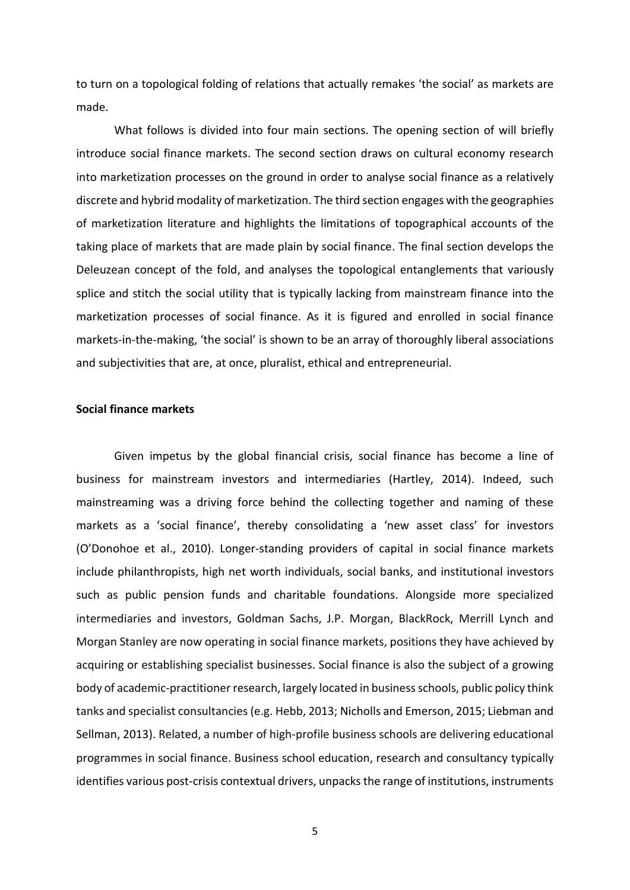to turn on a topological folding of relations that actually remakes 'the social' as markets are made.

What follows is divided into four main sections. The opening section of will briefly introduce social finance markets. The second section draws on cultural economy research into marketization processes on the ground in order to analyse social finance as a relatively discrete and hybrid modality of marketization. The third section engages with the geographies of marketization literature and highlights the limitations of topographical accounts of the taking place of markets that are made plain by social finance. The final section develops the Deleuzean concept of the fold, and analyses the topological entanglements that variously splice and stitch the social utility that is typically lacking from mainstream finance into the marketization processes of social finance. As it is figured and enrolled in social finance markets-in-the-making, 'the social' is shown to be an array of thoroughly liberal associations and subjectivities that are, at once, pluralist, ethical and entrepreneurial.

## **Social finance markets**

Given impetus by the global financial crisis, social finance has become a line of business for mainstream investors and intermediaries (Hartley, 2014). Indeed, such mainstreaming was a driving force behind the collecting together and naming of these markets as a 'social finance', thereby consolidating a 'new asset class' for investors (O'Donohoe et al., 2010). Longer-standing providers of capital in social finance markets include philanthropists, high net worth individuals, social banks, and institutional investors such as public pension funds and charitable foundations. Alongside more specialized intermediaries and investors, Goldman Sachs, J.P. Morgan, BlackRock, Merrill Lynch and Morgan Stanley are now operating in social finance markets, positions they have achieved by acquiring or establishing specialist businesses. Social finance is also the subject of a growing body of academic-practitioner research, largely located in business schools, public policy think tanks and specialist consultancies (e.g. Hebb, 2013; Nicholls and Emerson, 2015; Liebman and Sellman, 2013). Related, a number of high-profile business schools are delivering educational programmes in social finance. Business school education, research and consultancy typically identifies various post-crisis contextual drivers, unpacks the range of institutions, instruments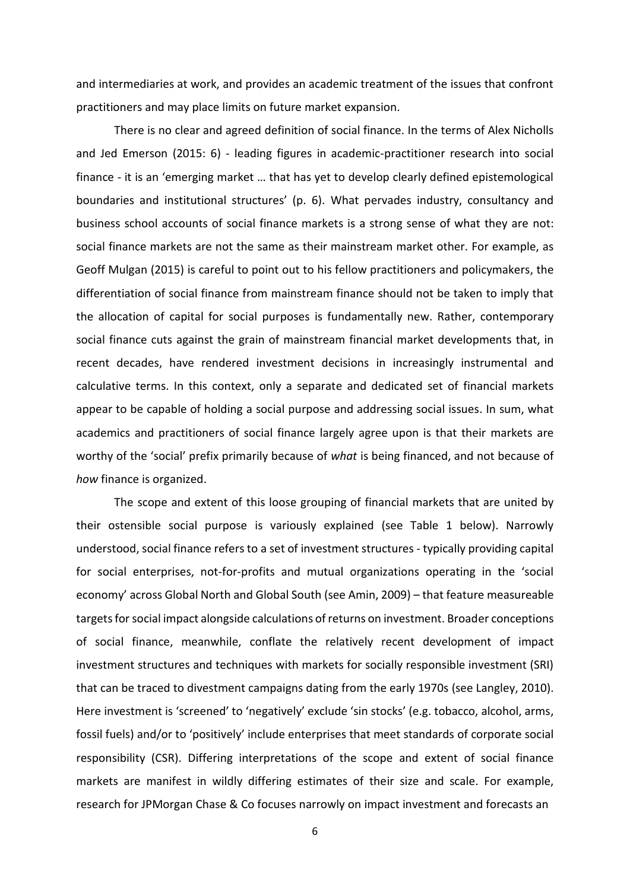and intermediaries at work, and provides an academic treatment of the issues that confront practitioners and may place limits on future market expansion.

There is no clear and agreed definition of social finance. In the terms of Alex Nicholls and Jed Emerson (2015: 6) - leading figures in academic-practitioner research into social finance - it is an 'emerging market … that has yet to develop clearly defined epistemological boundaries and institutional structures' (p. 6). What pervades industry, consultancy and business school accounts of social finance markets is a strong sense of what they are not: social finance markets are not the same as their mainstream market other. For example, as Geoff Mulgan (2015) is careful to point out to his fellow practitioners and policymakers, the differentiation of social finance from mainstream finance should not be taken to imply that the allocation of capital for social purposes is fundamentally new. Rather, contemporary social finance cuts against the grain of mainstream financial market developments that, in recent decades, have rendered investment decisions in increasingly instrumental and calculative terms. In this context, only a separate and dedicated set of financial markets appear to be capable of holding a social purpose and addressing social issues. In sum, what academics and practitioners of social finance largely agree upon is that their markets are worthy of the 'social' prefix primarily because of *what* is being financed, and not because of *how* finance is organized.

The scope and extent of this loose grouping of financial markets that are united by their ostensible social purpose is variously explained (see Table 1 below). Narrowly understood, social finance refers to a set of investment structures - typically providing capital for social enterprises, not-for-profits and mutual organizations operating in the 'social economy' across Global North and Global South (see Amin, 2009) – that feature measureable targets for social impact alongside calculations of returns on investment. Broader conceptions of social finance, meanwhile, conflate the relatively recent development of impact investment structures and techniques with markets for socially responsible investment (SRI) that can be traced to divestment campaigns dating from the early 1970s (see Langley, 2010). Here investment is 'screened' to 'negatively' exclude 'sin stocks' (e.g. tobacco, alcohol, arms, fossil fuels) and/or to 'positively' include enterprises that meet standards of corporate social responsibility (CSR). Differing interpretations of the scope and extent of social finance markets are manifest in wildly differing estimates of their size and scale. For example, research for JPMorgan Chase & Co focuses narrowly on impact investment and forecasts an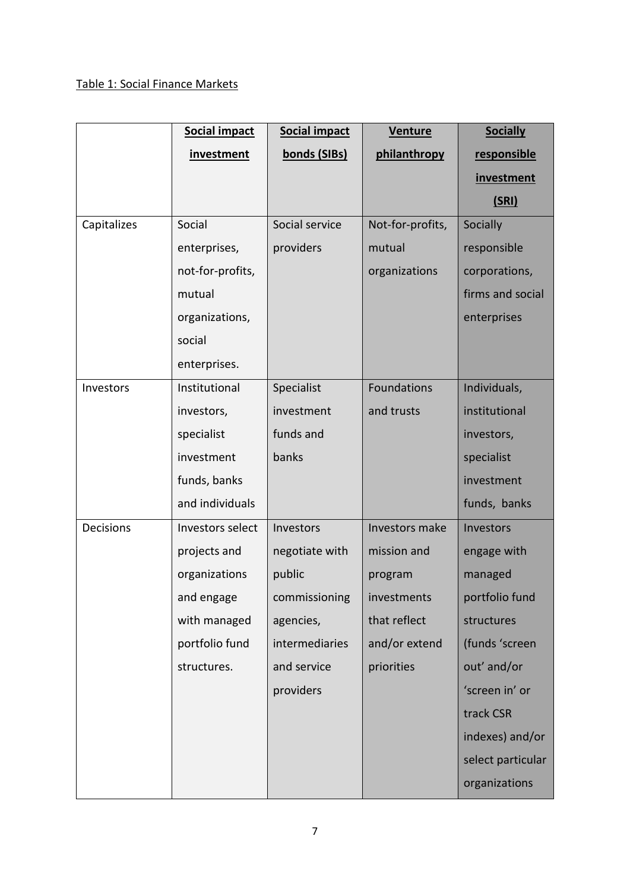# Table 1: Social Finance Markets

|             | Social impact    | <b>Social impact</b> | <b>Venture</b>   | <b>Socially</b>   |
|-------------|------------------|----------------------|------------------|-------------------|
|             | investment       | bonds (SIBs)         | philanthropy     | responsible       |
|             |                  |                      |                  | <i>investment</i> |
|             |                  |                      |                  | (SRI)             |
| Capitalizes | Social           | Social service       | Not-for-profits, | Socially          |
|             | enterprises,     | providers            | mutual           | responsible       |
|             | not-for-profits, |                      | organizations    | corporations,     |
|             | mutual           |                      |                  | firms and social  |
|             | organizations,   |                      |                  | enterprises       |
|             | social           |                      |                  |                   |
|             | enterprises.     |                      |                  |                   |
| Investors   | Institutional    | Specialist           | Foundations      | Individuals,      |
|             | investors,       | investment           | and trusts       | institutional     |
|             | specialist       | funds and            |                  | investors,        |
|             | investment       | banks                |                  | specialist        |
|             | funds, banks     |                      |                  | investment        |
|             | and individuals  |                      |                  | funds, banks      |
| Decisions   | Investors select | Investors            | Investors make   | Investors         |
|             | projects and     | negotiate with       | mission and      | engage with       |
|             | organizations    | public               | program          | managed           |
|             | and engage       | commissioning        | investments      | portfolio fund    |
|             | with managed     | agencies,            | that reflect     | structures        |
|             | portfolio fund   | intermediaries       | and/or extend    | (funds 'screen    |
|             | structures.      | and service          | priorities       | out' and/or       |
|             |                  | providers            |                  | 'screen in' or    |
|             |                  |                      |                  | track CSR         |
|             |                  |                      |                  | indexes) and/or   |
|             |                  |                      |                  | select particular |
|             |                  |                      |                  | organizations     |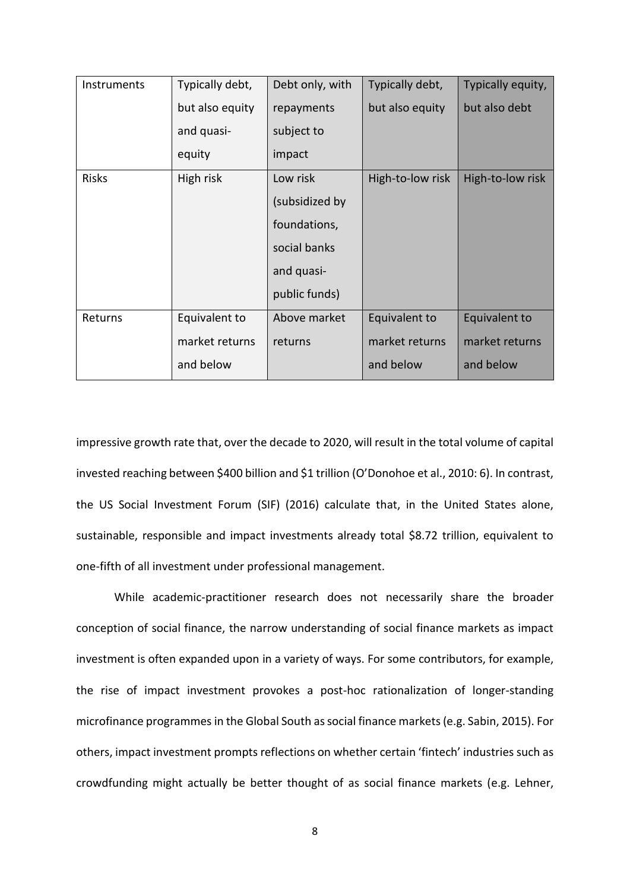| Instruments  | Typically debt, | Debt only, with | Typically debt,  | Typically equity, |
|--------------|-----------------|-----------------|------------------|-------------------|
|              | but also equity | repayments      | but also equity  | but also debt     |
|              | and quasi-      | subject to      |                  |                   |
|              | equity          | impact          |                  |                   |
| <b>Risks</b> | High risk       | Low risk        | High-to-low risk | High-to-low risk  |
|              |                 | (subsidized by  |                  |                   |
|              |                 | foundations,    |                  |                   |
|              |                 | social banks    |                  |                   |
|              |                 | and quasi-      |                  |                   |
|              |                 | public funds)   |                  |                   |
| Returns      | Equivalent to   | Above market    | Equivalent to    | Equivalent to     |
|              | market returns  | returns         | market returns   | market returns    |
|              | and below       |                 | and below        | and below         |

impressive growth rate that, over the decade to 2020, will result in the total volume of capital invested reaching between \$400 billion and \$1 trillion (O'Donohoe et al., 2010: 6). In contrast, the US Social Investment Forum (SIF) (2016) calculate that, in the United States alone, sustainable, responsible and impact investments already total \$8.72 trillion, equivalent to one-fifth of all investment under professional management.

While academic-practitioner research does not necessarily share the broader conception of social finance, the narrow understanding of social finance markets as impact investment is often expanded upon in a variety of ways. For some contributors, for example, the rise of impact investment provokes a post-hoc rationalization of longer-standing microfinance programmes in the Global South associal finance markets(e.g. Sabin, 2015). For others, impact investment prompts reflections on whether certain 'fintech' industries such as crowdfunding might actually be better thought of as social finance markets (e.g. Lehner,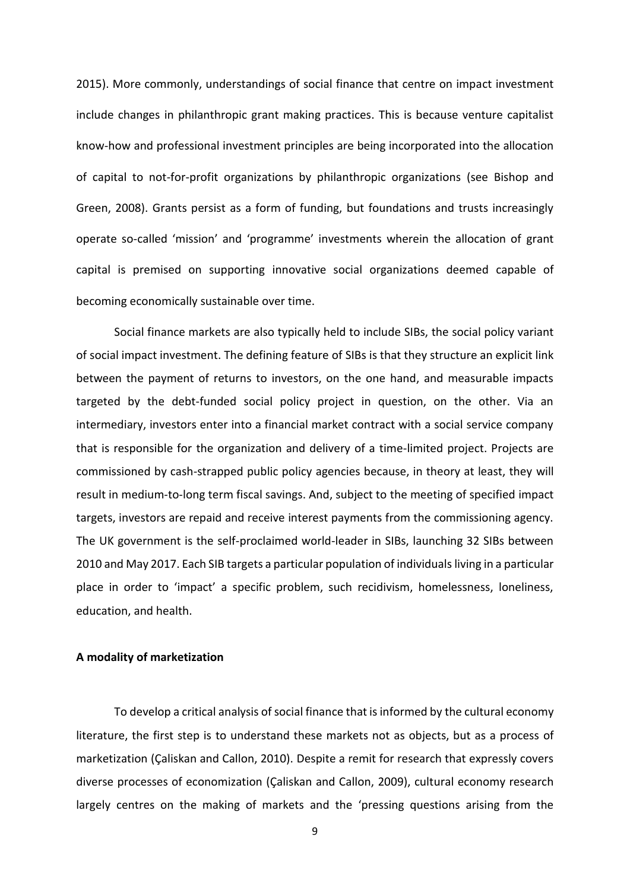2015). More commonly, understandings of social finance that centre on impact investment include changes in philanthropic grant making practices. This is because venture capitalist know-how and professional investment principles are being incorporated into the allocation of capital to not-for-profit organizations by philanthropic organizations (see Bishop and Green, 2008). Grants persist as a form of funding, but foundations and trusts increasingly operate so-called 'mission' and 'programme' investments wherein the allocation of grant capital is premised on supporting innovative social organizations deemed capable of becoming economically sustainable over time.

Social finance markets are also typically held to include SIBs, the social policy variant of social impact investment. The defining feature of SIBs is that they structure an explicit link between the payment of returns to investors, on the one hand, and measurable impacts targeted by the debt-funded social policy project in question, on the other. Via an intermediary, investors enter into a financial market contract with a social service company that is responsible for the organization and delivery of a time-limited project. Projects are commissioned by cash-strapped public policy agencies because, in theory at least, they will result in medium-to-long term fiscal savings. And, subject to the meeting of specified impact targets, investors are repaid and receive interest payments from the commissioning agency. The UK government is the self-proclaimed world-leader in SIBs, launching 32 SIBs between 2010 and May 2017. Each SIB targets a particular population of individuals living in a particular place in order to 'impact' a specific problem, such recidivism, homelessness, loneliness, education, and health.

### **A modality of marketization**

To develop a critical analysis of social finance that is informed by the cultural economy literature, the first step is to understand these markets not as objects, but as a process of marketization (Çaliskan and Callon, 2010). Despite a remit for research that expressly covers diverse processes of economization (Çaliskan and Callon, 2009), cultural economy research largely centres on the making of markets and the 'pressing questions arising from the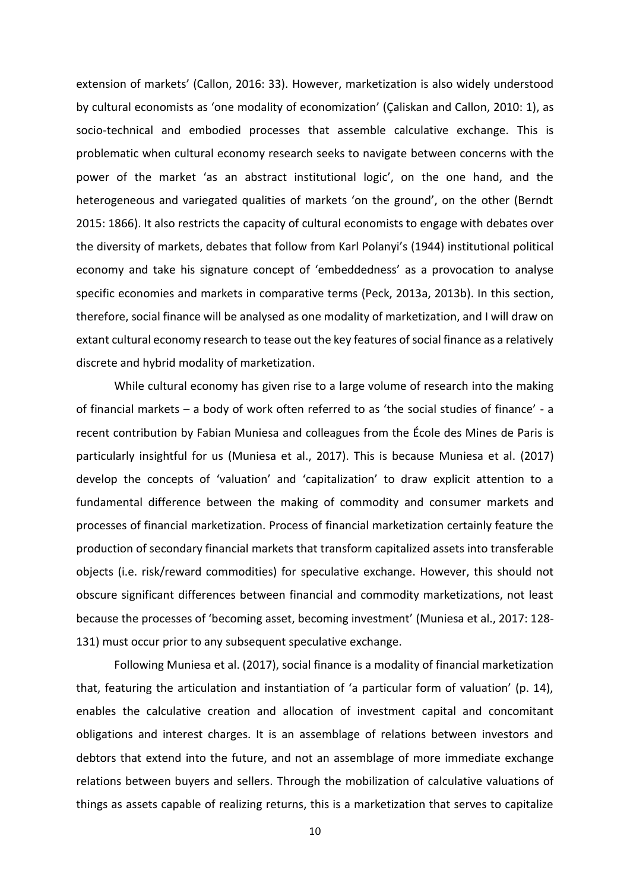extension of markets' (Callon, 2016: 33). However, marketization is also widely understood by cultural economists as 'one modality of economization' (Çaliskan and Callon, 2010: 1), as socio-technical and embodied processes that assemble calculative exchange. This is problematic when cultural economy research seeks to navigate between concerns with the power of the market 'as an abstract institutional logic', on the one hand, and the heterogeneous and variegated qualities of markets 'on the ground', on the other (Berndt 2015: 1866). It also restricts the capacity of cultural economists to engage with debates over the diversity of markets, debates that follow from Karl Polanyi's (1944) institutional political economy and take his signature concept of 'embeddedness' as a provocation to analyse specific economies and markets in comparative terms (Peck, 2013a, 2013b). In this section, therefore, social finance will be analysed as one modality of marketization, and I will draw on extant cultural economy research to tease out the key features of social finance as a relatively discrete and hybrid modality of marketization.

While cultural economy has given rise to a large volume of research into the making of financial markets – a body of work often referred to as 'the social studies of finance' - a recent contribution by Fabian Muniesa and colleagues from the École des Mines de Paris is particularly insightful for us (Muniesa et al., 2017). This is because Muniesa et al. (2017) develop the concepts of 'valuation' and 'capitalization' to draw explicit attention to a fundamental difference between the making of commodity and consumer markets and processes of financial marketization. Process of financial marketization certainly feature the production of secondary financial markets that transform capitalized assets into transferable objects (i.e. risk/reward commodities) for speculative exchange. However, this should not obscure significant differences between financial and commodity marketizations, not least because the processes of 'becoming asset, becoming investment' (Muniesa et al., 2017: 128- 131) must occur prior to any subsequent speculative exchange.

Following Muniesa et al. (2017), social finance is a modality of financial marketization that, featuring the articulation and instantiation of 'a particular form of valuation' (p. 14), enables the calculative creation and allocation of investment capital and concomitant obligations and interest charges. It is an assemblage of relations between investors and debtors that extend into the future, and not an assemblage of more immediate exchange relations between buyers and sellers. Through the mobilization of calculative valuations of things as assets capable of realizing returns, this is a marketization that serves to capitalize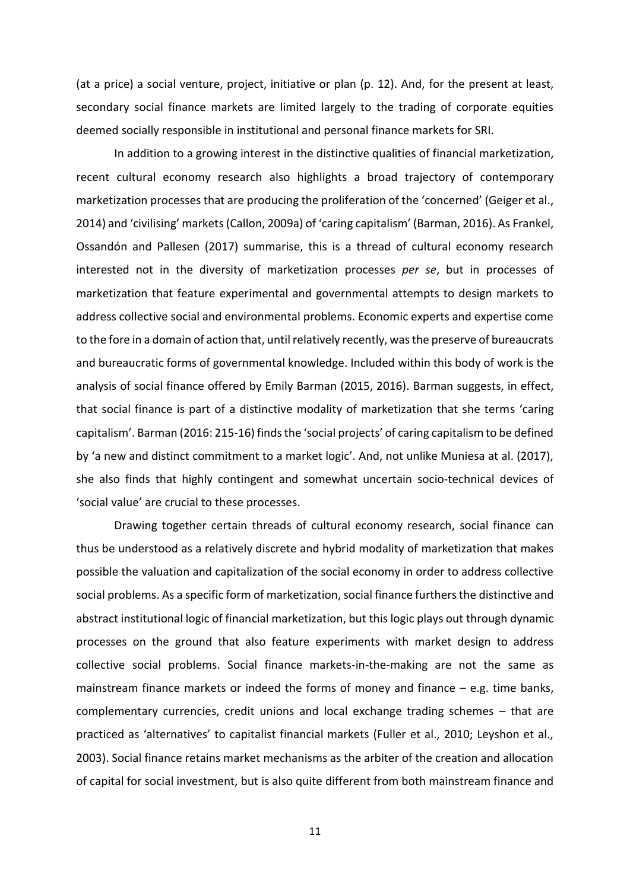(at a price) a social venture, project, initiative or plan (p. 12). And, for the present at least, secondary social finance markets are limited largely to the trading of corporate equities deemed socially responsible in institutional and personal finance markets for SRI.

In addition to a growing interest in the distinctive qualities of financial marketization, recent cultural economy research also highlights a broad trajectory of contemporary marketization processes that are producing the proliferation of the 'concerned' (Geiger et al., 2014) and 'civilising' markets (Callon, 2009a) of 'caring capitalism' (Barman, 2016). As Frankel, Ossandón and Pallesen (2017) summarise, this is a thread of cultural economy research interested not in the diversity of marketization processes *per se*, but in processes of marketization that feature experimental and governmental attempts to design markets to address collective social and environmental problems. Economic experts and expertise come to the fore in a domain of action that, until relatively recently, was the preserve of bureaucrats and bureaucratic forms of governmental knowledge. Included within this body of work is the analysis of social finance offered by Emily Barman (2015, 2016). Barman suggests, in effect, that social finance is part of a distinctive modality of marketization that she terms 'caring capitalism'. Barman (2016: 215-16) finds the 'social projects' of caring capitalism to be defined by 'a new and distinct commitment to a market logic'. And, not unlike Muniesa at al. (2017), she also finds that highly contingent and somewhat uncertain socio-technical devices of 'social value' are crucial to these processes.

Drawing together certain threads of cultural economy research, social finance can thus be understood as a relatively discrete and hybrid modality of marketization that makes possible the valuation and capitalization of the social economy in order to address collective social problems. As a specific form of marketization, social finance furthers the distinctive and abstract institutional logic of financial marketization, but this logic plays out through dynamic processes on the ground that also feature experiments with market design to address collective social problems. Social finance markets-in-the-making are not the same as mainstream finance markets or indeed the forms of money and finance – e.g. time banks, complementary currencies, credit unions and local exchange trading schemes – that are practiced as 'alternatives' to capitalist financial markets (Fuller et al., 2010; Leyshon et al., 2003). Social finance retains market mechanisms as the arbiter of the creation and allocation of capital for social investment, but is also quite different from both mainstream finance and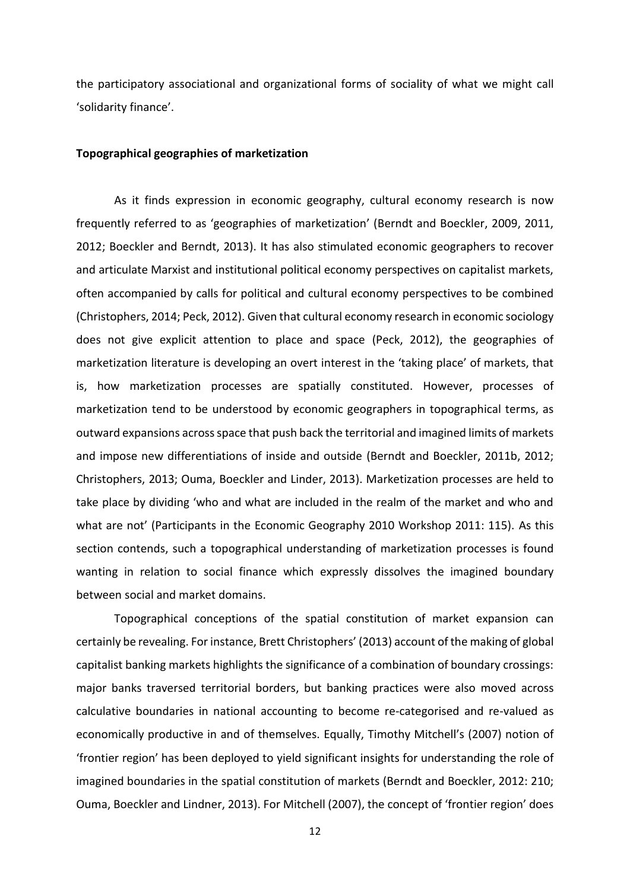the participatory associational and organizational forms of sociality of what we might call 'solidarity finance'.

#### **Topographical geographies of marketization**

As it finds expression in economic geography, cultural economy research is now frequently referred to as 'geographies of marketization' (Berndt and Boeckler, 2009, 2011, 2012; Boeckler and Berndt, 2013). It has also stimulated economic geographers to recover and articulate Marxist and institutional political economy perspectives on capitalist markets, often accompanied by calls for political and cultural economy perspectives to be combined (Christophers, 2014; Peck, 2012). Given that cultural economy research in economic sociology does not give explicit attention to place and space (Peck, 2012), the geographies of marketization literature is developing an overt interest in the 'taking place' of markets, that is, how marketization processes are spatially constituted. However, processes of marketization tend to be understood by economic geographers in topographical terms, as outward expansions across space that push back the territorial and imagined limits of markets and impose new differentiations of inside and outside (Berndt and Boeckler, 2011b, 2012; Christophers, 2013; Ouma, Boeckler and Linder, 2013). Marketization processes are held to take place by dividing 'who and what are included in the realm of the market and who and what are not' (Participants in the Economic Geography 2010 Workshop 2011: 115). As this section contends, such a topographical understanding of marketization processes is found wanting in relation to social finance which expressly dissolves the imagined boundary between social and market domains.

Topographical conceptions of the spatial constitution of market expansion can certainly be revealing. For instance, Brett Christophers' (2013) account of the making of global capitalist banking markets highlights the significance of a combination of boundary crossings: major banks traversed territorial borders, but banking practices were also moved across calculative boundaries in national accounting to become re-categorised and re-valued as economically productive in and of themselves. Equally, Timothy Mitchell's (2007) notion of 'frontier region' has been deployed to yield significant insights for understanding the role of imagined boundaries in the spatial constitution of markets (Berndt and Boeckler, 2012: 210; Ouma, Boeckler and Lindner, 2013). For Mitchell (2007), the concept of 'frontier region' does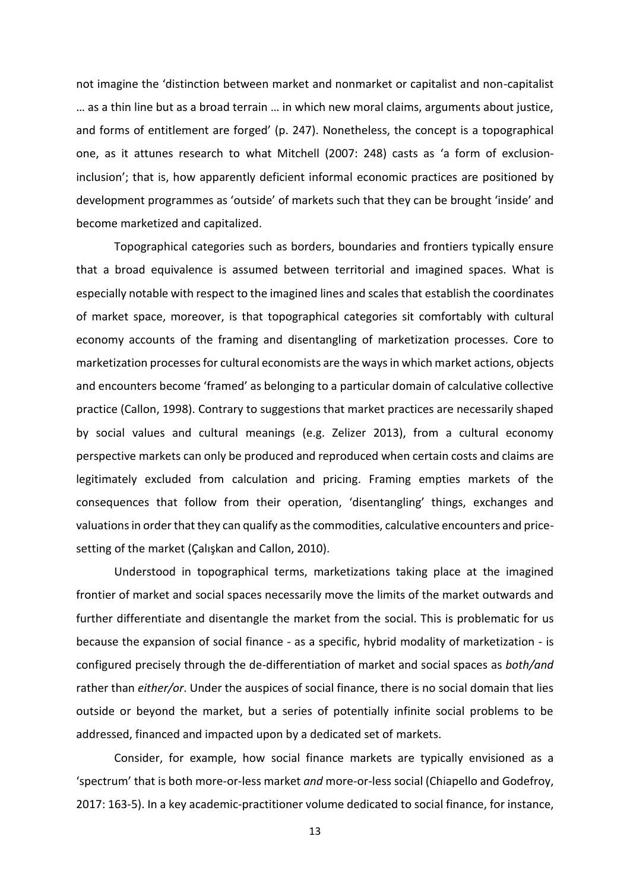not imagine the 'distinction between market and nonmarket or capitalist and non-capitalist … as a thin line but as a broad terrain … in which new moral claims, arguments about justice, and forms of entitlement are forged' (p. 247). Nonetheless, the concept is a topographical one, as it attunes research to what Mitchell (2007: 248) casts as 'a form of exclusioninclusion'; that is, how apparently deficient informal economic practices are positioned by development programmes as 'outside' of markets such that they can be brought 'inside' and become marketized and capitalized.

Topographical categories such as borders, boundaries and frontiers typically ensure that a broad equivalence is assumed between territorial and imagined spaces. What is especially notable with respect to the imagined lines and scales that establish the coordinates of market space, moreover, is that topographical categories sit comfortably with cultural economy accounts of the framing and disentangling of marketization processes. Core to marketization processes for cultural economists are the ways in which market actions, objects and encounters become 'framed' as belonging to a particular domain of calculative collective practice (Callon, 1998). Contrary to suggestions that market practices are necessarily shaped by social values and cultural meanings (e.g. Zelizer 2013), from a cultural economy perspective markets can only be produced and reproduced when certain costs and claims are legitimately excluded from calculation and pricing. Framing empties markets of the consequences that follow from their operation, 'disentangling' things, exchanges and valuations in order that they can qualify as the commodities, calculative encounters and pricesetting of the market (Çalışkan and Callon, 2010).

Understood in topographical terms, marketizations taking place at the imagined frontier of market and social spaces necessarily move the limits of the market outwards and further differentiate and disentangle the market from the social. This is problematic for us because the expansion of social finance - as a specific, hybrid modality of marketization - is configured precisely through the de-differentiation of market and social spaces as *both/and* rather than *either/or*. Under the auspices of social finance, there is no social domain that lies outside or beyond the market, but a series of potentially infinite social problems to be addressed, financed and impacted upon by a dedicated set of markets.

Consider, for example, how social finance markets are typically envisioned as a 'spectrum' that is both more-or-less market *and* more-or-less social (Chiapello and Godefroy, 2017: 163-5). In a key academic-practitioner volume dedicated to social finance, for instance,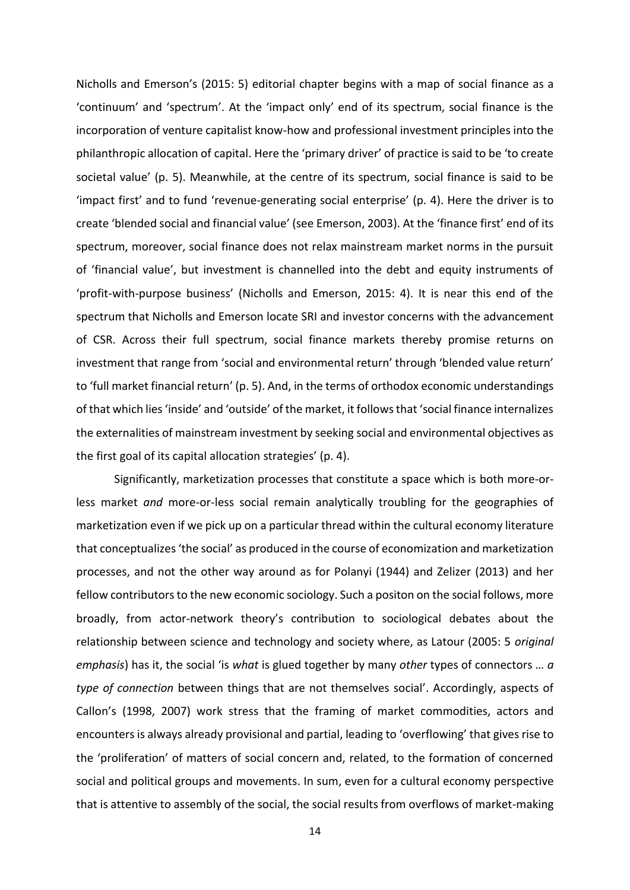Nicholls and Emerson's (2015: 5) editorial chapter begins with a map of social finance as a 'continuum' and 'spectrum'. At the 'impact only' end of its spectrum, social finance is the incorporation of venture capitalist know-how and professional investment principles into the philanthropic allocation of capital. Here the 'primary driver' of practice is said to be 'to create societal value' (p. 5). Meanwhile, at the centre of its spectrum, social finance is said to be 'impact first' and to fund 'revenue-generating social enterprise' (p. 4). Here the driver is to create 'blended social and financial value' (see Emerson, 2003). At the 'finance first' end of its spectrum, moreover, social finance does not relax mainstream market norms in the pursuit of 'financial value', but investment is channelled into the debt and equity instruments of 'profit-with-purpose business' (Nicholls and Emerson, 2015: 4). It is near this end of the spectrum that Nicholls and Emerson locate SRI and investor concerns with the advancement of CSR. Across their full spectrum, social finance markets thereby promise returns on investment that range from 'social and environmental return' through 'blended value return' to 'full market financial return' (p. 5). And, in the terms of orthodox economic understandings of that which lies 'inside' and 'outside' of the market, it follows that 'social finance internalizes the externalities of mainstream investment by seeking social and environmental objectives as the first goal of its capital allocation strategies' (p. 4).

Significantly, marketization processes that constitute a space which is both more-orless market *and* more-or-less social remain analytically troubling for the geographies of marketization even if we pick up on a particular thread within the cultural economy literature that conceptualizes 'the social' as produced in the course of economization and marketization processes, and not the other way around as for Polanyi (1944) and Zelizer (2013) and her fellow contributors to the new economic sociology. Such a positon on the social follows, more broadly, from actor-network theory's contribution to sociological debates about the relationship between science and technology and society where, as Latour (2005: 5 *original emphasis*) has it, the social 'is *what* is glued together by many *other* types of connectors … *a type of connection* between things that are not themselves social'. Accordingly, aspects of Callon's (1998, 2007) work stress that the framing of market commodities, actors and encounters is always already provisional and partial, leading to 'overflowing' that gives rise to the 'proliferation' of matters of social concern and, related, to the formation of concerned social and political groups and movements. In sum, even for a cultural economy perspective that is attentive to assembly of the social, the social results from overflows of market-making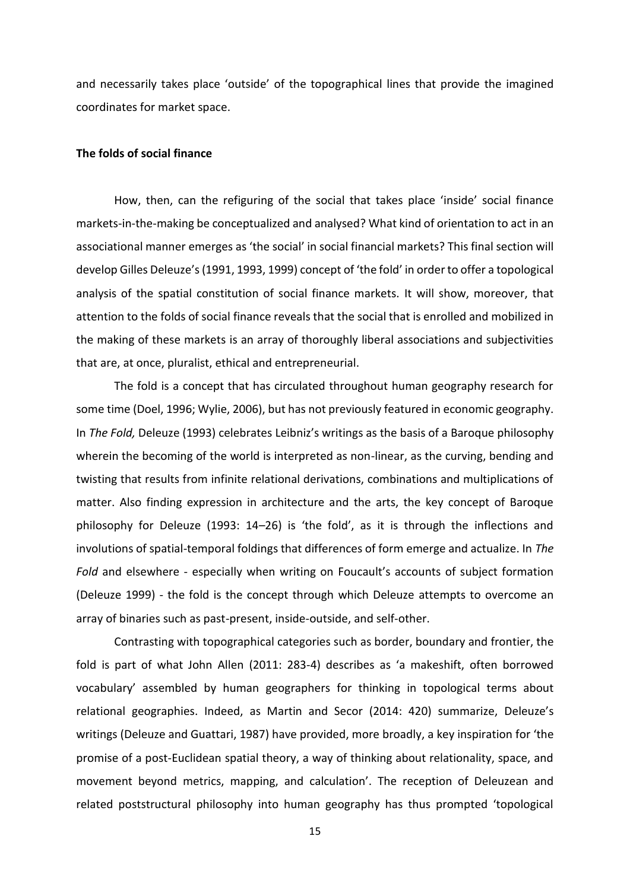and necessarily takes place 'outside' of the topographical lines that provide the imagined coordinates for market space.

#### **The folds of social finance**

How, then, can the refiguring of the social that takes place 'inside' social finance markets-in-the-making be conceptualized and analysed? What kind of orientation to act in an associational manner emerges as 'the social' in social financial markets? This final section will develop Gilles Deleuze's (1991, 1993, 1999) concept of 'the fold' in order to offer a topological analysis of the spatial constitution of social finance markets. It will show, moreover, that attention to the folds of social finance reveals that the social that is enrolled and mobilized in the making of these markets is an array of thoroughly liberal associations and subjectivities that are, at once, pluralist, ethical and entrepreneurial.

The fold is a concept that has circulated throughout human geography research for some time (Doel, 1996; Wylie, 2006), but has not previously featured in economic geography. In *The Fold,* Deleuze (1993) celebrates Leibniz's writings as the basis of a Baroque philosophy wherein the becoming of the world is interpreted as non-linear, as the curving, bending and twisting that results from infinite relational derivations, combinations and multiplications of matter. Also finding expression in architecture and the arts, the key concept of Baroque philosophy for Deleuze (1993: 14–26) is 'the fold', as it is through the inflections and involutions of spatial-temporal foldings that differences of form emerge and actualize. In *The Fold* and elsewhere - especially when writing on Foucault's accounts of subject formation (Deleuze 1999) - the fold is the concept through which Deleuze attempts to overcome an array of binaries such as past-present, inside-outside, and self-other.

Contrasting with topographical categories such as border, boundary and frontier, the fold is part of what John Allen (2011: 283-4) describes as 'a makeshift, often borrowed vocabulary' assembled by human geographers for thinking in topological terms about relational geographies. Indeed, as Martin and Secor (2014: 420) summarize, Deleuze's writings (Deleuze and Guattari, 1987) have provided, more broadly, a key inspiration for 'the promise of a post-Euclidean spatial theory, a way of thinking about relationality, space, and movement beyond metrics, mapping, and calculation'. The reception of Deleuzean and related poststructural philosophy into human geography has thus prompted 'topological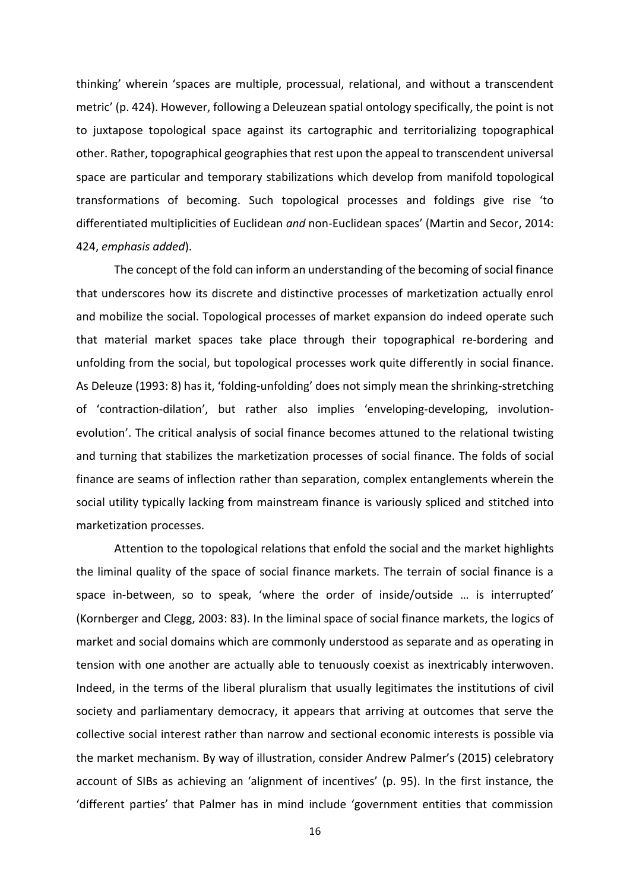thinking' wherein 'spaces are multiple, processual, relational, and without a transcendent metric' (p. 424). However, following a Deleuzean spatial ontology specifically, the point is not to juxtapose topological space against its cartographic and territorializing topographical other. Rather, topographical geographies that rest upon the appeal to transcendent universal space are particular and temporary stabilizations which develop from manifold topological transformations of becoming. Such topological processes and foldings give rise 'to differentiated multiplicities of Euclidean *and* non-Euclidean spaces' (Martin and Secor, 2014: 424, *emphasis added*).

The concept of the fold can inform an understanding of the becoming of social finance that underscores how its discrete and distinctive processes of marketization actually enrol and mobilize the social. Topological processes of market expansion do indeed operate such that material market spaces take place through their topographical re-bordering and unfolding from the social, but topological processes work quite differently in social finance. As Deleuze (1993: 8) has it, 'folding-unfolding' does not simply mean the shrinking-stretching of 'contraction-dilation', but rather also implies 'enveloping-developing, involutionevolution'. The critical analysis of social finance becomes attuned to the relational twisting and turning that stabilizes the marketization processes of social finance. The folds of social finance are seams of inflection rather than separation, complex entanglements wherein the social utility typically lacking from mainstream finance is variously spliced and stitched into marketization processes.

Attention to the topological relations that enfold the social and the market highlights the liminal quality of the space of social finance markets. The terrain of social finance is a space in-between, so to speak, 'where the order of inside/outside … is interrupted' (Kornberger and Clegg, 2003: 83). In the liminal space of social finance markets, the logics of market and social domains which are commonly understood as separate and as operating in tension with one another are actually able to tenuously coexist as inextricably interwoven. Indeed, in the terms of the liberal pluralism that usually legitimates the institutions of civil society and parliamentary democracy, it appears that arriving at outcomes that serve the collective social interest rather than narrow and sectional economic interests is possible via the market mechanism. By way of illustration, consider Andrew Palmer's (2015) celebratory account of SIBs as achieving an 'alignment of incentives' (p. 95). In the first instance, the 'different parties' that Palmer has in mind include 'government entities that commission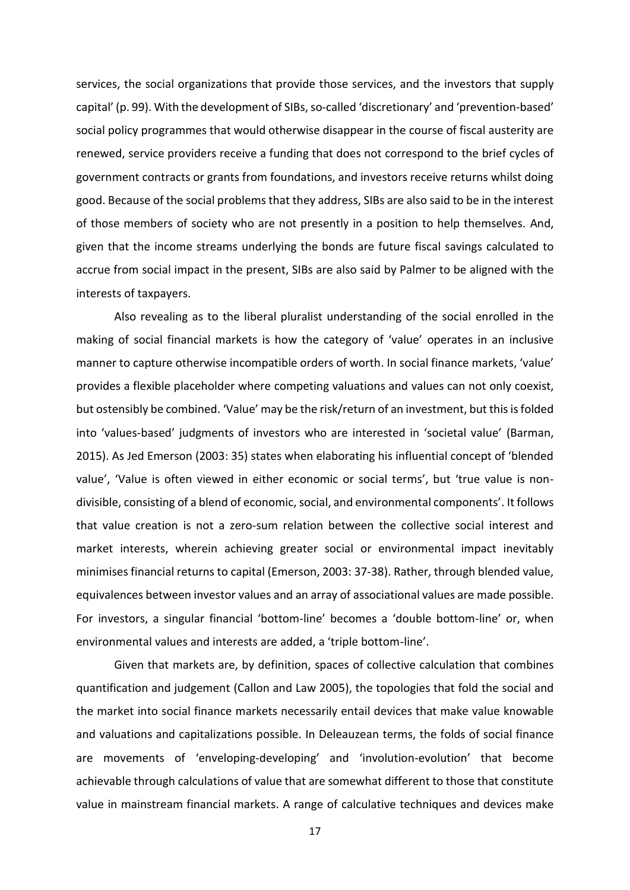services, the social organizations that provide those services, and the investors that supply capital' (p. 99). With the development of SIBs, so-called 'discretionary' and 'prevention-based' social policy programmes that would otherwise disappear in the course of fiscal austerity are renewed, service providers receive a funding that does not correspond to the brief cycles of government contracts or grants from foundations, and investors receive returns whilst doing good. Because of the social problems that they address, SIBs are also said to be in the interest of those members of society who are not presently in a position to help themselves. And, given that the income streams underlying the bonds are future fiscal savings calculated to accrue from social impact in the present, SIBs are also said by Palmer to be aligned with the interests of taxpayers.

Also revealing as to the liberal pluralist understanding of the social enrolled in the making of social financial markets is how the category of 'value' operates in an inclusive manner to capture otherwise incompatible orders of worth. In social finance markets, 'value' provides a flexible placeholder where competing valuations and values can not only coexist, but ostensibly be combined. 'Value' may be the risk/return of an investment, but this is folded into 'values-based' judgments of investors who are interested in 'societal value' (Barman, 2015). As Jed Emerson (2003: 35) states when elaborating his influential concept of 'blended value', 'Value is often viewed in either economic or social terms', but 'true value is nondivisible, consisting of a blend of economic, social, and environmental components'. It follows that value creation is not a zero-sum relation between the collective social interest and market interests, wherein achieving greater social or environmental impact inevitably minimises financial returns to capital (Emerson, 2003: 37-38). Rather, through blended value, equivalences between investor values and an array of associational values are made possible. For investors, a singular financial 'bottom-line' becomes a 'double bottom-line' or, when environmental values and interests are added, a 'triple bottom-line'.

Given that markets are, by definition, spaces of collective calculation that combines quantification and judgement (Callon and Law 2005), the topologies that fold the social and the market into social finance markets necessarily entail devices that make value knowable and valuations and capitalizations possible. In Deleauzean terms, the folds of social finance are movements of 'enveloping-developing' and 'involution-evolution' that become achievable through calculations of value that are somewhat different to those that constitute value in mainstream financial markets. A range of calculative techniques and devices make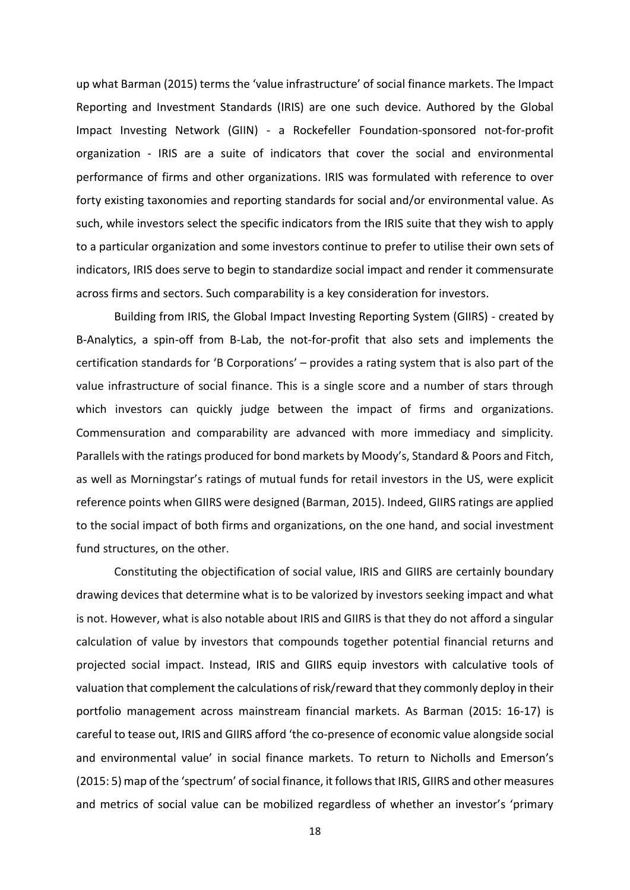up what Barman (2015) terms the 'value infrastructure' of social finance markets. The Impact Reporting and Investment Standards (IRIS) are one such device. Authored by the Global Impact Investing Network (GIIN) - a Rockefeller Foundation-sponsored not-for-profit organization - IRIS are a suite of indicators that cover the social and environmental performance of firms and other organizations. IRIS was formulated with reference to over forty existing taxonomies and reporting standards for social and/or environmental value. As such, while investors select the specific indicators from the IRIS suite that they wish to apply to a particular organization and some investors continue to prefer to utilise their own sets of indicators, IRIS does serve to begin to standardize social impact and render it commensurate across firms and sectors. Such comparability is a key consideration for investors.

Building from IRIS, the Global Impact Investing Reporting System (GIIRS) - created by B-Analytics, a spin-off from B-Lab, the not-for-profit that also sets and implements the certification standards for 'B Corporations' – provides a rating system that is also part of the value infrastructure of social finance. This is a single score and a number of stars through which investors can quickly judge between the impact of firms and organizations. Commensuration and comparability are advanced with more immediacy and simplicity. Parallels with the ratings produced for bond markets by Moody's, Standard & Poors and Fitch, as well as Morningstar's ratings of mutual funds for retail investors in the US, were explicit reference points when GIIRS were designed (Barman, 2015). Indeed, GIIRS ratings are applied to the social impact of both firms and organizations, on the one hand, and social investment fund structures, on the other.

Constituting the objectification of social value, IRIS and GIIRS are certainly boundary drawing devices that determine what is to be valorized by investors seeking impact and what is not. However, what is also notable about IRIS and GIIRS is that they do not afford a singular calculation of value by investors that compounds together potential financial returns and projected social impact. Instead, IRIS and GIIRS equip investors with calculative tools of valuation that complement the calculations of risk/reward that they commonly deploy in their portfolio management across mainstream financial markets. As Barman (2015: 16-17) is careful to tease out, IRIS and GIIRS afford 'the co-presence of economic value alongside social and environmental value' in social finance markets. To return to Nicholls and Emerson's (2015: 5) map of the 'spectrum' of social finance, it follows that IRIS, GIIRS and other measures and metrics of social value can be mobilized regardless of whether an investor's 'primary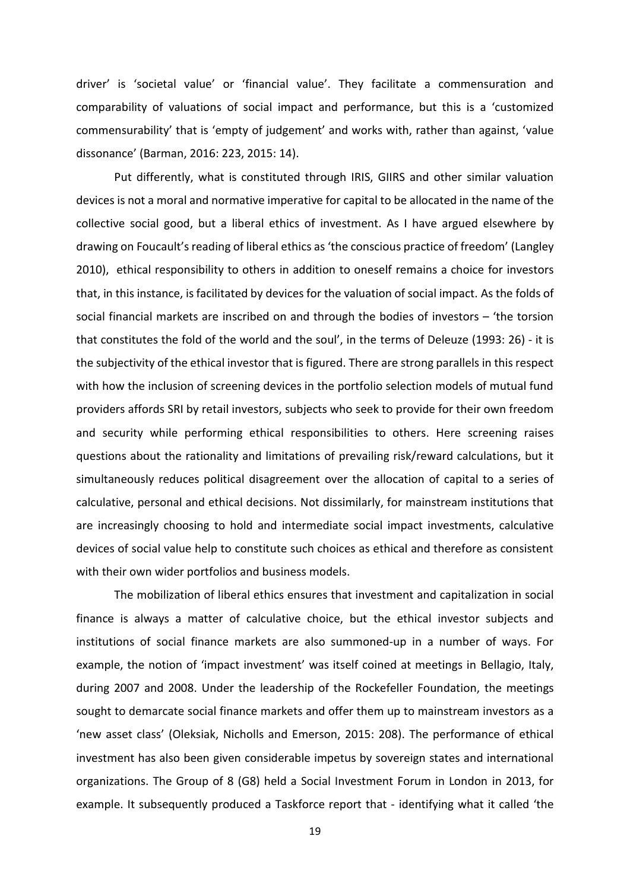driver' is 'societal value' or 'financial value'. They facilitate a commensuration and comparability of valuations of social impact and performance, but this is a 'customized commensurability' that is 'empty of judgement' and works with, rather than against, 'value dissonance' (Barman, 2016: 223, 2015: 14).

Put differently, what is constituted through IRIS, GIIRS and other similar valuation devices is not a moral and normative imperative for capital to be allocated in the name of the collective social good, but a liberal ethics of investment. As I have argued elsewhere by drawing on Foucault's reading of liberal ethics as 'the conscious practice of freedom' (Langley 2010), ethical responsibility to others in addition to oneself remains a choice for investors that, in this instance, is facilitated by devices for the valuation of social impact. As the folds of social financial markets are inscribed on and through the bodies of investors – 'the torsion that constitutes the fold of the world and the soul', in the terms of Deleuze (1993: 26) - it is the subjectivity of the ethical investor that is figured. There are strong parallels in this respect with how the inclusion of screening devices in the portfolio selection models of mutual fund providers affords SRI by retail investors, subjects who seek to provide for their own freedom and security while performing ethical responsibilities to others. Here screening raises questions about the rationality and limitations of prevailing risk/reward calculations, but it simultaneously reduces political disagreement over the allocation of capital to a series of calculative, personal and ethical decisions. Not dissimilarly, for mainstream institutions that are increasingly choosing to hold and intermediate social impact investments, calculative devices of social value help to constitute such choices as ethical and therefore as consistent with their own wider portfolios and business models.

The mobilization of liberal ethics ensures that investment and capitalization in social finance is always a matter of calculative choice, but the ethical investor subjects and institutions of social finance markets are also summoned-up in a number of ways. For example, the notion of 'impact investment' was itself coined at meetings in Bellagio, Italy, during 2007 and 2008. Under the leadership of the Rockefeller Foundation, the meetings sought to demarcate social finance markets and offer them up to mainstream investors as a 'new asset class' (Oleksiak, Nicholls and Emerson, 2015: 208). The performance of ethical investment has also been given considerable impetus by sovereign states and international organizations. The Group of 8 (G8) held a Social Investment Forum in London in 2013, for example. It subsequently produced a Taskforce report that - identifying what it called 'the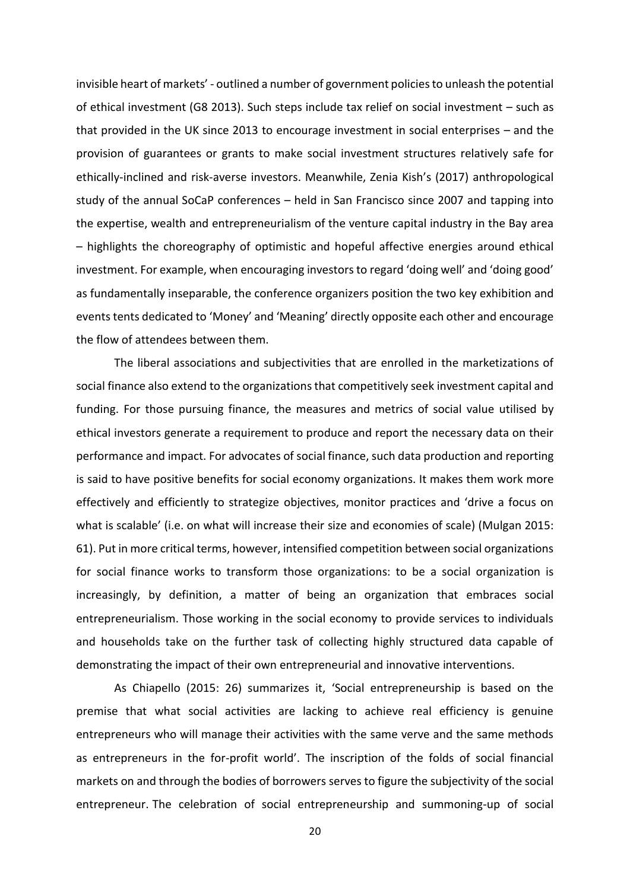invisible heart of markets' - outlined a number of government policiesto unleash the potential of ethical investment (G8 2013). Such steps include tax relief on social investment – such as that provided in the UK since 2013 to encourage investment in social enterprises – and the provision of guarantees or grants to make social investment structures relatively safe for ethically-inclined and risk-averse investors. Meanwhile, Zenia Kish's (2017) anthropological study of the annual SoCaP conferences – held in San Francisco since 2007 and tapping into the expertise, wealth and entrepreneurialism of the venture capital industry in the Bay area – highlights the choreography of optimistic and hopeful affective energies around ethical investment. For example, when encouraging investors to regard 'doing well' and 'doing good' as fundamentally inseparable, the conference organizers position the two key exhibition and events tents dedicated to 'Money' and 'Meaning' directly opposite each other and encourage the flow of attendees between them.

The liberal associations and subjectivities that are enrolled in the marketizations of social finance also extend to the organizations that competitively seek investment capital and funding. For those pursuing finance, the measures and metrics of social value utilised by ethical investors generate a requirement to produce and report the necessary data on their performance and impact. For advocates of social finance, such data production and reporting is said to have positive benefits for social economy organizations. It makes them work more effectively and efficiently to strategize objectives, monitor practices and 'drive a focus on what is scalable' (i.e. on what will increase their size and economies of scale) (Mulgan 2015: 61). Put in more critical terms, however, intensified competition between social organizations for social finance works to transform those organizations: to be a social organization is increasingly, by definition, a matter of being an organization that embraces social entrepreneurialism. Those working in the social economy to provide services to individuals and households take on the further task of collecting highly structured data capable of demonstrating the impact of their own entrepreneurial and innovative interventions.

As Chiapello (2015: 26) summarizes it, 'Social entrepreneurship is based on the premise that what social activities are lacking to achieve real efficiency is genuine entrepreneurs who will manage their activities with the same verve and the same methods as entrepreneurs in the for-profit world'. The inscription of the folds of social financial markets on and through the bodies of borrowers serves to figure the subjectivity of the social entrepreneur. The celebration of social entrepreneurship and summoning-up of social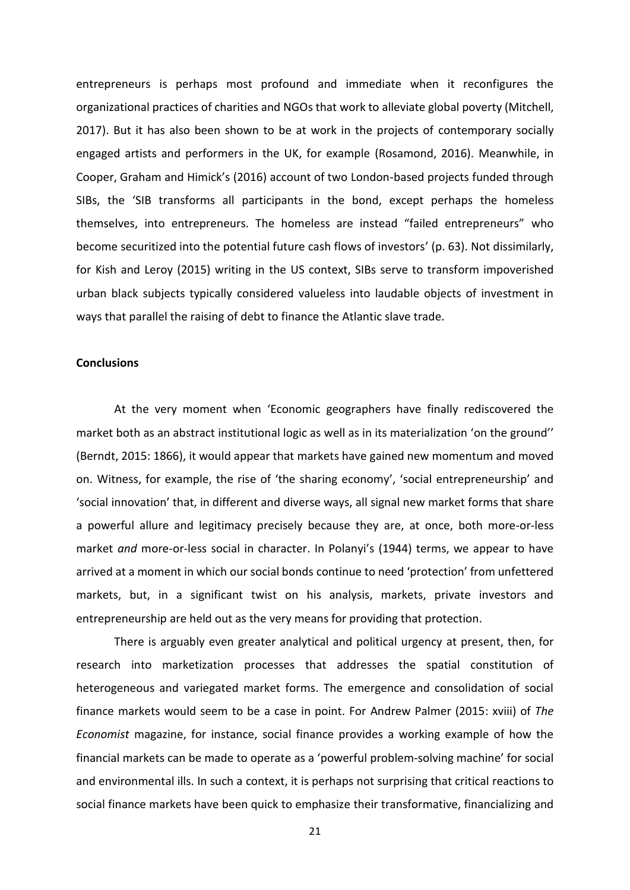entrepreneurs is perhaps most profound and immediate when it reconfigures the organizational practices of charities and NGOs that work to alleviate global poverty (Mitchell, 2017). But it has also been shown to be at work in the projects of contemporary socially engaged artists and performers in the UK, for example (Rosamond, 2016). Meanwhile, in Cooper, Graham and Himick's (2016) account of two London-based projects funded through SIBs, the 'SIB transforms all participants in the bond, except perhaps the homeless themselves, into entrepreneurs. The homeless are instead "failed entrepreneurs" who become securitized into the potential future cash flows of investors' (p. 63). Not dissimilarly, for Kish and Leroy (2015) writing in the US context, SIBs serve to transform impoverished urban black subjects typically considered valueless into laudable objects of investment in ways that parallel the raising of debt to finance the Atlantic slave trade.

### **Conclusions**

At the very moment when 'Economic geographers have finally rediscovered the market both as an abstract institutional logic as well as in its materialization 'on the ground'' (Berndt, 2015: 1866), it would appear that markets have gained new momentum and moved on. Witness, for example, the rise of 'the sharing economy', 'social entrepreneurship' and 'social innovation' that, in different and diverse ways, all signal new market forms that share a powerful allure and legitimacy precisely because they are, at once, both more-or-less market *and* more-or-less social in character. In Polanyi's (1944) terms, we appear to have arrived at a moment in which our social bonds continue to need 'protection' from unfettered markets, but, in a significant twist on his analysis, markets, private investors and entrepreneurship are held out as the very means for providing that protection.

There is arguably even greater analytical and political urgency at present, then, for research into marketization processes that addresses the spatial constitution of heterogeneous and variegated market forms. The emergence and consolidation of social finance markets would seem to be a case in point. For Andrew Palmer (2015: xviii) of *The Economist* magazine, for instance, social finance provides a working example of how the financial markets can be made to operate as a 'powerful problem-solving machine' for social and environmental ills. In such a context, it is perhaps not surprising that critical reactions to social finance markets have been quick to emphasize their transformative, financializing and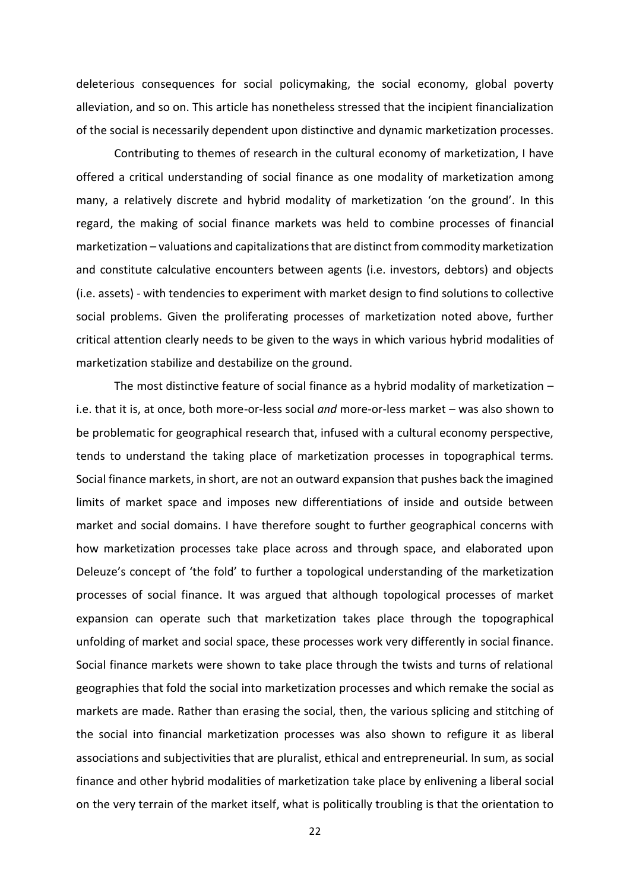deleterious consequences for social policymaking, the social economy, global poverty alleviation, and so on. This article has nonetheless stressed that the incipient financialization of the social is necessarily dependent upon distinctive and dynamic marketization processes.

Contributing to themes of research in the cultural economy of marketization, I have offered a critical understanding of social finance as one modality of marketization among many, a relatively discrete and hybrid modality of marketization 'on the ground'. In this regard, the making of social finance markets was held to combine processes of financial marketization – valuations and capitalizations that are distinct from commodity marketization and constitute calculative encounters between agents (i.e. investors, debtors) and objects (i.e. assets) - with tendencies to experiment with market design to find solutions to collective social problems. Given the proliferating processes of marketization noted above, further critical attention clearly needs to be given to the ways in which various hybrid modalities of marketization stabilize and destabilize on the ground.

The most distinctive feature of social finance as a hybrid modality of marketization – i.e. that it is, at once, both more-or-less social *and* more-or-less market – was also shown to be problematic for geographical research that, infused with a cultural economy perspective, tends to understand the taking place of marketization processes in topographical terms. Social finance markets, in short, are not an outward expansion that pushes back the imagined limits of market space and imposes new differentiations of inside and outside between market and social domains. I have therefore sought to further geographical concerns with how marketization processes take place across and through space, and elaborated upon Deleuze's concept of 'the fold' to further a topological understanding of the marketization processes of social finance. It was argued that although topological processes of market expansion can operate such that marketization takes place through the topographical unfolding of market and social space, these processes work very differently in social finance. Social finance markets were shown to take place through the twists and turns of relational geographies that fold the social into marketization processes and which remake the social as markets are made. Rather than erasing the social, then, the various splicing and stitching of the social into financial marketization processes was also shown to refigure it as liberal associations and subjectivities that are pluralist, ethical and entrepreneurial. In sum, as social finance and other hybrid modalities of marketization take place by enlivening a liberal social on the very terrain of the market itself, what is politically troubling is that the orientation to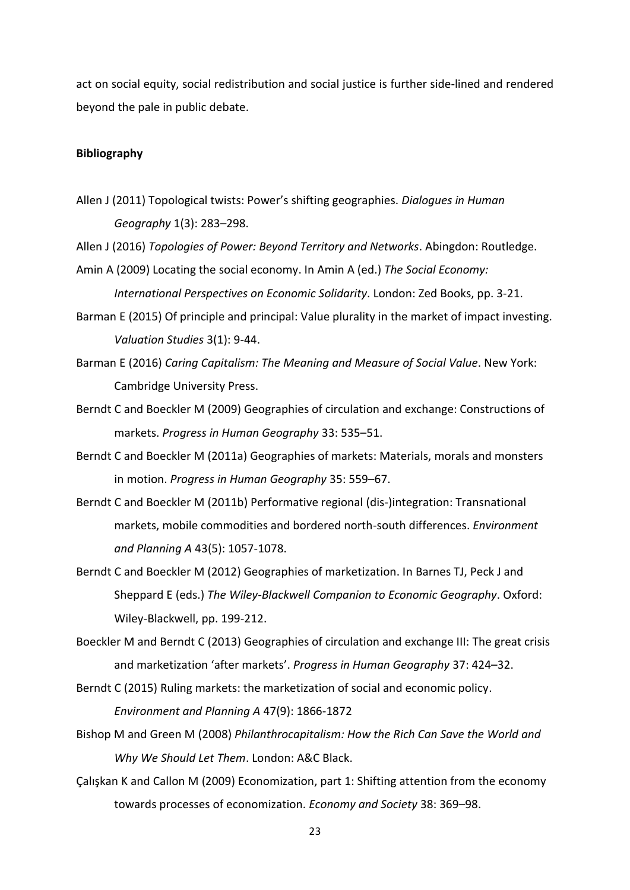act on social equity, social redistribution and social justice is further side-lined and rendered beyond the pale in public debate.

### **Bibliography**

Allen J (2011) Topological twists: Power's shifting geographies. *Dialogues in Human Geography* 1(3): 283–298.

Allen J (2016) *Topologies of Power: Beyond Territory and Networks*. Abingdon: Routledge.

- Amin A (2009) Locating the social economy. In Amin A (ed.) *The Social Economy: International Perspectives on Economic Solidarity*. London: Zed Books, pp. 3-21.
- Barman E (2015) Of principle and principal: Value plurality in the market of impact investing. *Valuation Studies* 3(1): 9-44.
- Barman E (2016) *Caring Capitalism: The Meaning and Measure of Social Value*. New York: Cambridge University Press.
- Berndt C and Boeckler M (2009) Geographies of circulation and exchange: Constructions of markets. *Progress in Human Geography* 33: 535–51.
- Berndt C and Boeckler M (2011a) Geographies of markets: Materials, morals and monsters in motion. *Progress in Human Geography* 35: 559–67.
- Berndt C and Boeckler M (2011b) Performative regional (dis-)integration: Transnational markets, mobile commodities and bordered north-south differences. *Environment and Planning A* 43(5): 1057-1078.
- Berndt C and Boeckler M (2012) Geographies of marketization. In Barnes TJ, Peck J and Sheppard E (eds.) *The Wiley-Blackwell Companion to Economic Geography*. Oxford: Wiley-Blackwell, pp. 199-212.
- Boeckler M and Berndt C (2013) Geographies of circulation and exchange III: The great crisis and marketization 'after markets'. *Progress in Human Geography* 37: 424–32.
- Berndt C (2015) Ruling markets: the marketization of social and economic policy. *Environment and Planning A* 47(9): 1866-1872
- Bishop M and Green M (2008) *Philanthrocapitalism: How the Rich Can Save the World and Why We Should Let Them*. London: A&C Black.
- Çalışkan K and Callon M (2009) Economization, part 1: Shifting attention from the economy towards processes of economization. *Economy and Society* 38: 369–98.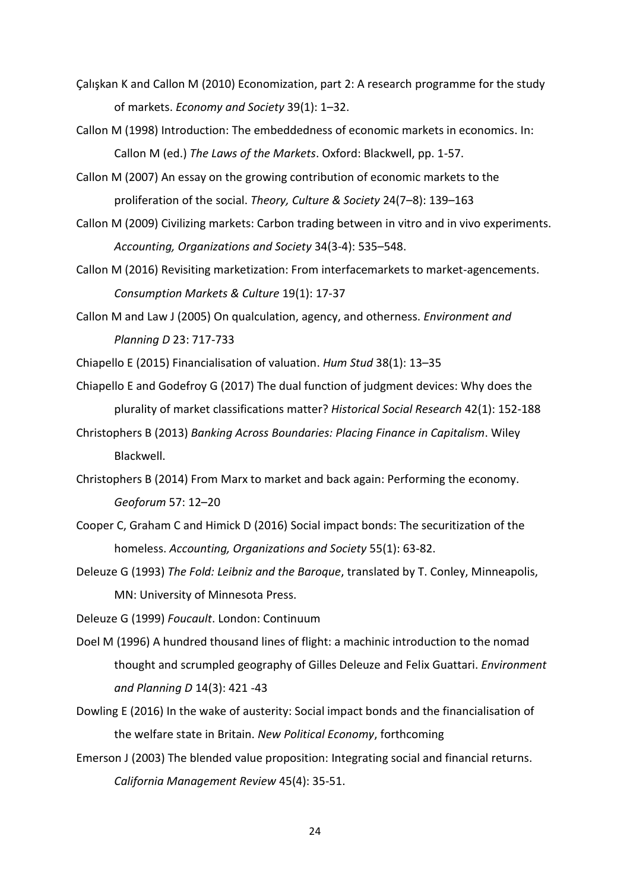- Çalışkan K and Callon M (2010) Economization, part 2: A research programme for the study of markets. *Economy and Society* 39(1): 1–32.
- Callon M (1998) Introduction: The embeddedness of economic markets in economics. In: Callon M (ed.) *The Laws of the Markets*. Oxford: Blackwell, pp. 1-57.
- Callon M (2007) An essay on the growing contribution of economic markets to the proliferation of the social. *Theory, Culture & Society* 24(7–8): 139–163
- Callon M (2009) Civilizing markets: Carbon trading between in vitro and in vivo experiments. *Accounting, Organizations and Society* 34(3-4): 535–548.
- Callon M (2016) Revisiting marketization: From interfacemarkets to market-agencements. *Consumption Markets & Culture* 19(1): 17-37
- Callon M and Law J (2005) On qualculation, agency, and otherness. *Environment and Planning D* 23: 717-733

Chiapello E (2015) Financialisation of valuation. *Hum Stud* 38(1): 13–35

- Chiapello E and Godefroy G (2017) The dual function of judgment devices: Why does the plurality of market classifications matter? *Historical Social Research* 42(1): 152-188
- Christophers B (2013) *Banking Across Boundaries: Placing Finance in Capitalism*. Wiley Blackwell.
- Christophers B (2014) From Marx to market and back again: Performing the economy. *Geoforum* 57: 12–20
- Cooper C, Graham C and Himick D (2016) Social impact bonds: The securitization of the homeless. *Accounting, Organizations and Society* 55(1): 63-82.
- Deleuze G (1993) *The Fold: Leibniz and the Baroque*, translated by T. Conley, Minneapolis, MN: University of Minnesota Press.

Deleuze G (1999) *Foucault*. London: Continuum

- Doel M (1996) A hundred thousand lines of flight: a machinic introduction to the nomad thought and scrumpled geography of Gilles Deleuze and Felix Guattari. *Environment and Planning D* 14(3): 421 -43
- Dowling E (2016) In the wake of austerity: Social impact bonds and the financialisation of the welfare state in Britain. *New Political Economy*, forthcoming
- Emerson J (2003) The blended value proposition: Integrating social and financial returns. *California Management Review* 45(4): 35-51.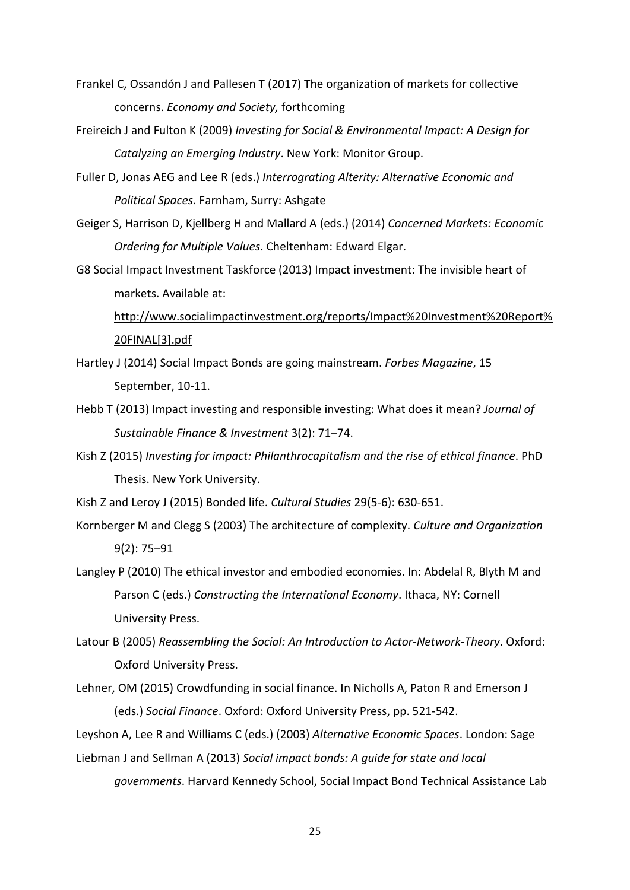- Frankel C, Ossandón J and Pallesen T (2017) The organization of markets for collective concerns. *Economy and Society,* forthcoming
- Freireich J and Fulton K (2009) *Investing for Social & Environmental Impact: A Design for Catalyzing an Emerging Industry*. New York: Monitor Group.
- Fuller D, Jonas AEG and Lee R (eds.) *Interrograting Alterity: Alternative Economic and Political Spaces*. Farnham, Surry: Ashgate
- Geiger S, Harrison D, Kjellberg H and Mallard A (eds.) (2014) *Concerned Markets: Economic Ordering for Multiple Values*. Cheltenham: Edward Elgar.
- G8 Social Impact Investment Taskforce (2013) Impact investment: The invisible heart of markets. Available at:

[http://www.socialimpactinvestment.org/reports/Impact%20Investment%20Report%](http://www.socialimpactinvestment.org/reports/Impact%20Investment%20Report%20FINAL%5b3%5d.pdf) [20FINAL\[3\].pdf](http://www.socialimpactinvestment.org/reports/Impact%20Investment%20Report%20FINAL%5b3%5d.pdf)

- Hartley J (2014) Social Impact Bonds are going mainstream. *Forbes Magazine*, 15 September, 10-11.
- Hebb T (2013) Impact investing and responsible investing: What does it mean? *Journal of Sustainable Finance & Investment* 3(2): 71–74.
- Kish Z (2015) *Investing for impact: Philanthrocapitalism and the rise of ethical finance*. PhD Thesis. New York University.
- Kish Z and Leroy J (2015) Bonded life. *Cultural Studies* 29(5-6): 630-651.
- Kornberger M and Clegg S (2003) The architecture of complexity. *Culture and Organization* 9(2): 75–91
- Langley P (2010) The ethical investor and embodied economies. In: Abdelal R, Blyth M and Parson C (eds.) *Constructing the International Economy*. Ithaca, NY: Cornell University Press.
- Latour B (2005) *Reassembling the Social: An Introduction to Actor-Network-Theory*. Oxford: Oxford University Press.
- Lehner, OM (2015) Crowdfunding in social finance. In Nicholls A, Paton R and Emerson J (eds.) *Social Finance*. Oxford: Oxford University Press, pp. 521-542.

Leyshon A, Lee R and Williams C (eds.) (2003) *Alternative Economic Spaces*. London: Sage Liebman J and Sellman A (2013) *Social impact bonds: A guide for state and local* 

*governments*. Harvard Kennedy School, Social Impact Bond Technical Assistance Lab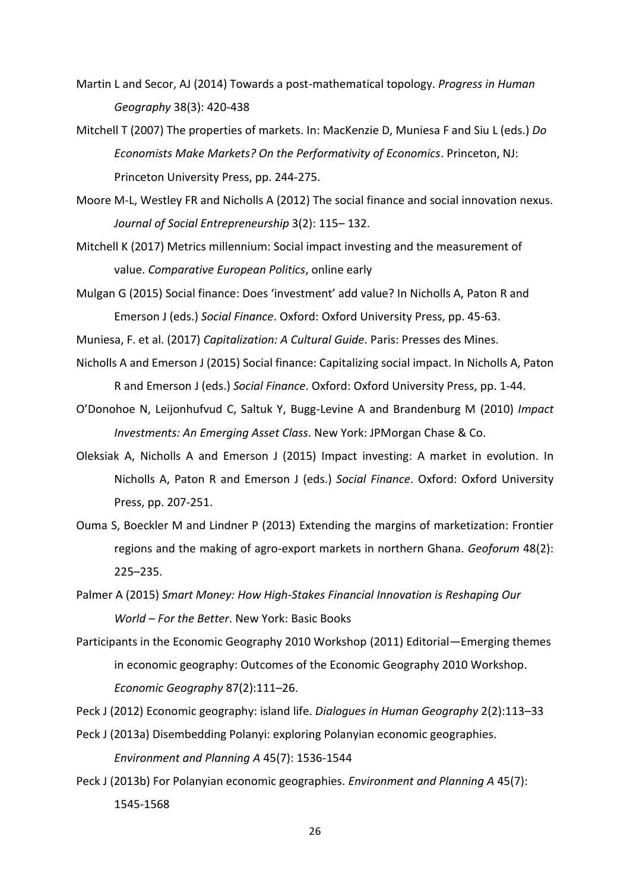- Martin L and Secor, AJ (2014) Towards a post-mathematical topology. *Progress in Human Geography* 38(3): 420-438
- Mitchell T (2007) The properties of markets. In: MacKenzie D, Muniesa F and Siu L (eds.) *Do Economists Make Markets? On the Performativity of Economics*. Princeton, NJ: Princeton University Press, pp. 244-275.
- Moore M-L, Westley FR and Nicholls A (2012) The social finance and social innovation nexus. *Journal of Social Entrepreneurship* 3(2): 115– 132.
- Mitchell K (2017) Metrics millennium: Social impact investing and the measurement of value. *Comparative European Politics*, online early
- Mulgan G (2015) Social finance: Does 'investment' add value? In Nicholls A, Paton R and Emerson J (eds.) *Social Finance*. Oxford: Oxford University Press, pp. 45-63.

Muniesa, F. et al. (2017) *Capitalization: A Cultural Guide*. Paris: Presses des Mines.

- Nicholls A and Emerson J (2015) Social finance: Capitalizing social impact. In Nicholls A, Paton R and Emerson J (eds.) *Social Finance*. Oxford: Oxford University Press, pp. 1-44.
- O'Donohoe N, Leijonhufvud C, Saltuk Y, Bugg-Levine A and Brandenburg M (2010) *Impact Investments: An Emerging Asset Class*. New York: JPMorgan Chase & Co.
- Oleksiak A, Nicholls A and Emerson J (2015) Impact investing: A market in evolution. In Nicholls A, Paton R and Emerson J (eds.) *Social Finance*. Oxford: Oxford University Press, pp. 207-251.
- Ouma S, Boeckler M and Lindner P (2013) Extending the margins of marketization: Frontier regions and the making of agro-export markets in northern Ghana. *Geoforum* 48(2): 225–235.
- Palmer A (2015) *Smart Money: How High-Stakes Financial Innovation is Reshaping Our World – For the Better*. New York: Basic Books
- Participants in the Economic Geography 2010 Workshop (2011) Editorial—Emerging themes in economic geography: Outcomes of the Economic Geography 2010 Workshop. *Economic Geography* 87(2):111–26.

Peck J (2012) Economic geography: island life. *Dialogues in Human Geography* 2(2):113–33

- Peck J (2013a) Disembedding Polanyi: exploring Polanyian economic geographies. *Environment and Planning A* 45(7): 1536‐1544
- Peck J (2013b) For Polanyian economic geographies. *Environment and Planning A* 45(7): 1545‐1568